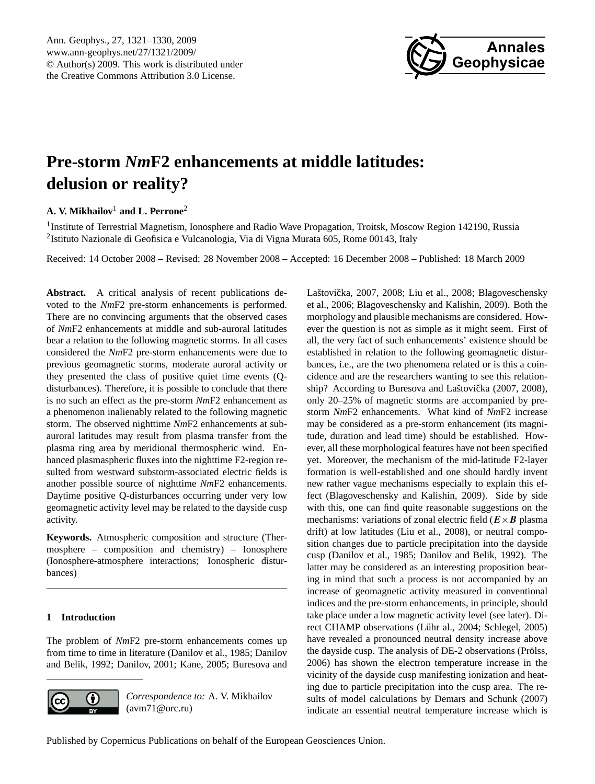

# <span id="page-0-0"></span>**Pre-storm** *Nm***F2 enhancements at middle latitudes: delusion or reality?**

## **A. V. Mikhailov**<sup>1</sup> **and L. Perrone**<sup>2</sup>

<sup>1</sup>Institute of Terrestrial Magnetism, Ionosphere and Radio Wave Propagation, Troitsk, Moscow Region 142190, Russia <sup>2</sup>Istituto Nazionale di Geofisica e Vulcanologia, Via di Vigna Murata 605, Rome 00143, Italy

Received: 14 October 2008 – Revised: 28 November 2008 – Accepted: 16 December 2008 – Published: 18 March 2009

Abstract. A critical analysis of recent publications devoted to the *Nm*F2 pre-storm enhancements is performed. There are no convincing arguments that the observed cases of *Nm*F2 enhancements at middle and sub-auroral latitudes bear a relation to the following magnetic storms. In all cases considered the *Nm*F2 pre-storm enhancements were due to previous geomagnetic storms, moderate auroral activity or they presented the class of positive quiet time events (Qdisturbances). Therefore, it is possible to conclude that there is no such an effect as the pre-storm *Nm*F2 enhancement as a phenomenon inalienably related to the following magnetic storm. The observed nighttime *Nm*F2 enhancements at subauroral latitudes may result from plasma transfer from the plasma ring area by meridional thermospheric wind. Enhanced plasmaspheric fluxes into the nighttime F2-region resulted from westward substorm-associated electric fields is another possible source of nighttime *Nm*F2 enhancements. Daytime positive Q-disturbances occurring under very low geomagnetic activity level may be related to the dayside cusp activity.

**Keywords.** Atmospheric composition and structure (Thermosphere – composition and chemistry) – Ionosphere (Ionosphere-atmosphere interactions; Ionospheric disturbances)

### **1 Introduction**

The problem of *Nm*F2 pre-storm enhancements comes up from time to time in literature (Danilov et al., 1985; Danilov and Belik, 1992; Danilov, 2001; Kane, 2005; Buresova and



*Correspondence to:* A. V. Mikhailov (avm71@orc.ru)

Laštovička, 2007, 2008; Liu et al., 2008; Blagoveschensky et al., 2006; Blagoveschensky and Kalishin, 2009). Both the morphology and plausible mechanisms are considered. However the question is not as simple as it might seem. First of all, the very fact of such enhancements' existence should be established in relation to the following geomagnetic disturbances, i.e., are the two phenomena related or is this a coincidence and are the researchers wanting to see this relationship? According to Buresova and Laštovička (2007, 2008), only 20–25% of magnetic storms are accompanied by prestorm *Nm*F2 enhancements. What kind of *Nm*F2 increase may be considered as a pre-storm enhancement (its magnitude, duration and lead time) should be established. However, all these morphological features have not been specified yet. Moreover, the mechanism of the mid-latitude F2-layer formation is well-established and one should hardly invent new rather vague mechanisms especially to explain this effect (Blagoveschensky and Kalishin, 2009). Side by side with this, one can find quite reasonable suggestions on the mechanisms: variations of zonal electric field  $(E \times B)$  plasma drift) at low latitudes (Liu et al., 2008), or neutral composition changes due to particle precipitation into the dayside cusp (Danilov et al., 1985; Danilov and Belik, 1992). The latter may be considered as an interesting proposition bearing in mind that such a process is not accompanied by an increase of geomagnetic activity measured in conventional indices and the pre-storm enhancements, in principle, should take place under a low magnetic activity level (see later). Direct CHAMP observations (Lühr al., 2004; Schlegel, 2005) have revealed a pronounced neutral density increase above the dayside cusp. The analysis of DE-2 observations (Prölss, 2006) has shown the electron temperature increase in the vicinity of the dayside cusp manifesting ionization and heating due to particle precipitation into the cusp area. The results of model calculations by Demars and Schunk (2007) indicate an essential neutral temperature increase which is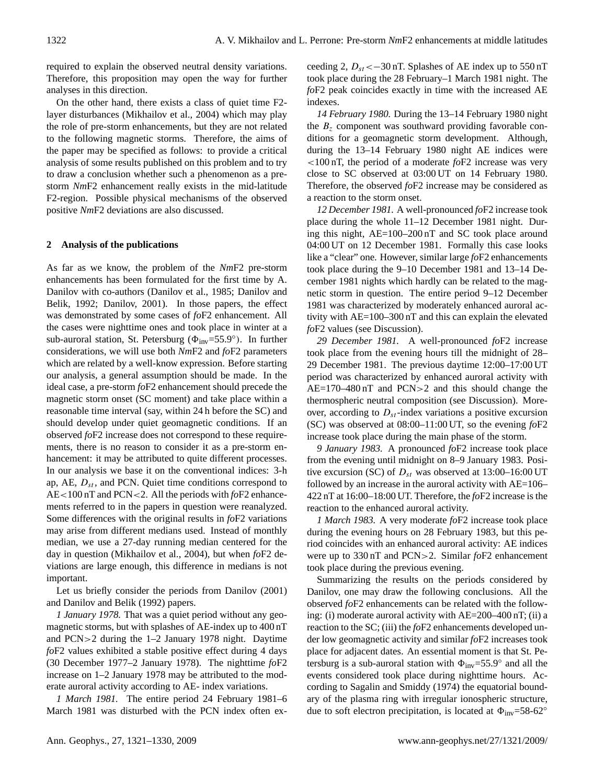required to explain the observed neutral density variations. Therefore, this proposition may open the way for further analyses in this direction.

On the other hand, there exists a class of quiet time F2 layer disturbances (Mikhailov et al., 2004) which may play the role of pre-storm enhancements, but they are not related to the following magnetic storms. Therefore, the aims of the paper may be specified as follows: to provide a critical analysis of some results published on this problem and to try to draw a conclusion whether such a phenomenon as a prestorm *Nm*F2 enhancement really exists in the mid-latitude F2-region. Possible physical mechanisms of the observed positive *Nm*F2 deviations are also discussed.

#### **2 Analysis of the publications**

As far as we know, the problem of the *Nm*F2 pre-storm enhancements has been formulated for the first time by A. Danilov with co-authors (Danilov et al., 1985; Danilov and Belik, 1992; Danilov, 2001). In those papers, the effect was demonstrated by some cases of *fo*F2 enhancement. All the cases were nighttime ones and took place in winter at a sub-auroral station, St. Petersburg ( $\Phi_{inv}$ =55.9°). In further considerations, we will use both *Nm*F2 and *fo*F2 parameters which are related by a well-know expression. Before starting our analysis, a general assumption should be made. In the ideal case, a pre-storm *fo*F2 enhancement should precede the magnetic storm onset (SC moment) and take place within a reasonable time interval (say, within 24 h before the SC) and should develop under quiet geomagnetic conditions. If an observed *fo*F2 increase does not correspond to these requirements, there is no reason to consider it as a pre-storm enhancement: it may be attributed to quite different processes. In our analysis we base it on the conventional indices: 3-h ap, AE,  $D_{st}$ , and PCN. Quiet time conditions correspond to AE<100 nT and PCN<2. All the periods with *fo*F2 enhancements referred to in the papers in question were reanalyzed. Some differences with the original results in *fo*F2 variations may arise from different medians used. Instead of monthly median, we use a 27-day running median centered for the day in question (Mikhailov et al., 2004), but when *fo*F2 deviations are large enough, this difference in medians is not important.

Let us briefly consider the periods from Danilov (2001) and Danilov and Belik (1992) papers.

*1 January 1978.* That was a quiet period without any geomagnetic storms, but with splashes of AE-index up to 400 nT and PCN>2 during the 1–2 January 1978 night. Daytime *fo*F2 values exhibited a stable positive effect during 4 days (30 December 1977–2 January 1978). The nighttime *fo*F2 increase on 1–2 January 1978 may be attributed to the moderate auroral activity according to AE- index variations.

*1 March 1981.* The entire period 24 February 1981–6 March 1981 was disturbed with the PCN index often ex-

ceeding 2,  $D_{st} < -30$  nT. Splashes of AE index up to 550 nT took place during the 28 February–1 March 1981 night. The *fo*F2 peak coincides exactly in time with the increased AE indexes.

*14 February 1980.* During the 13–14 February 1980 night the  $B<sub>z</sub>$  component was southward providing favorable conditions for a geomagnetic storm development. Although, during the 13–14 February 1980 night AE indices were <100 nT, the period of a moderate *fo*F2 increase was very close to SC observed at 03:00 UT on 14 February 1980. Therefore, the observed *fo*F2 increase may be considered as a reaction to the storm onset.

*12 December 1981.* A well-pronounced *fo*F2 increase took place during the whole 11–12 December 1981 night. During this night, AE=100–200 nT and SC took place around 04:00 UT on 12 December 1981. Formally this case looks like a "clear" one. However, similar large *fo*F2 enhancements took place during the 9–10 December 1981 and 13–14 December 1981 nights which hardly can be related to the magnetic storm in question. The entire period 9–12 December 1981 was characterized by moderately enhanced auroral activity with AE=100–300 nT and this can explain the elevated *fo*F2 values (see Discussion).

*29 December 1981.* A well-pronounced *fo*F2 increase took place from the evening hours till the midnight of 28– 29 December 1981. The previous daytime 12:00–17:00 UT period was characterized by enhanced auroral activity with AE=170–480 nT and PCN>2 and this should change the thermospheric neutral composition (see Discussion). Moreover, according to  $D_{st}$ -index variations a positive excursion (SC) was observed at 08:00–11:00 UT, so the evening *fo*F2 increase took place during the main phase of the storm.

*9 January 1983.* A pronounced *fo*F2 increase took place from the evening until midnight on 8–9 January 1983. Positive excursion (SC) of  $D_{st}$  was observed at 13:00–16:00 UT followed by an increase in the auroral activity with AE=106– 422 nT at 16:00–18:00 UT. Therefore, the *fo*F2 increase is the reaction to the enhanced auroral activity.

*1 March 1983.* A very moderate *fo*F2 increase took place during the evening hours on 28 February 1983, but this period coincides with an enhanced auroral activity: AE indices were up to 330 nT and PCN>2. Similar *fo*F2 enhancement took place during the previous evening.

Summarizing the results on the periods considered by Danilov, one may draw the following conclusions. All the observed *fo*F2 enhancements can be related with the following: (i) moderate auroral activity with AE=200–400 nT; (ii) a reaction to the SC; (iii) the *fo*F2 enhancements developed under low geomagnetic activity and similar *fo*F2 increases took place for adjacent dates. An essential moment is that St. Petersburg is a sub-auroral station with  $\Phi_{\text{inv}}$ =55.9° and all the events considered took place during nighttime hours. According to Sagalin and Smiddy (1974) the equatorial boundary of the plasma ring with irregular ionospheric structure, due to soft electron precipitation, is located at  $\Phi_{inv}=58-62°$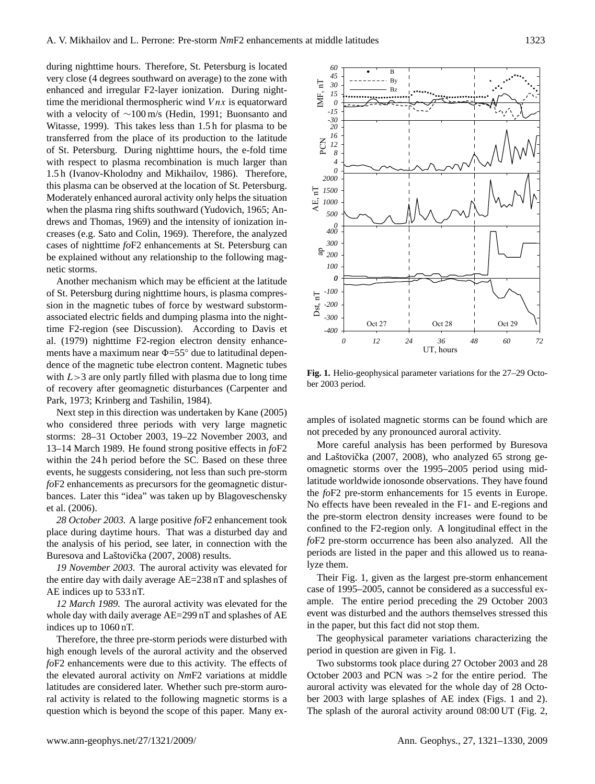during nighttime hours. Therefore, St. Petersburg is located very close (4 degrees southward on average) to the zone with enhanced and irregular F2-layer ionization. During nighttime the meridional thermospheric wind  $V$ *nx* is equatorward with a velocity of ∼100 m/s (Hedin, 1991; Buonsanto and Witasse, 1999). This takes less than 1.5 h for plasma to be transferred from the place of its production to the latitude of St. Petersburg. During nighttime hours, the e-fold time with respect to plasma recombination is much larger than 1.5 h (Ivanov-Kholodny and Mikhailov, 1986). Therefore, this plasma can be observed at the location of St. Petersburg. Moderately enhanced auroral activity only helps the situation when the plasma ring shifts southward (Yudovich, 1965; Andrews and Thomas, 1969) and the intensity of ionization increases (e.g. Sato and Colin, 1969). Therefore, the analyzed cases of nighttime *fo*F2 enhancements at St. Petersburg can be explained without any relationship to the following magnetic storms.

Another mechanism which may be efficient at the latitude of St. Petersburg during nighttime hours, is plasma compression in the magnetic tubes of force by westward substormassociated electric fields and dumping plasma into the nighttime F2-region (see Discussion). According to Davis et al. (1979) nighttime F2-region electron density enhancements have a maximum near  $\Phi$ =55 $\degree$  due to latitudinal dependence of the magnetic tube electron content. Magnetic tubes with  $L>3$  are only partly filled with plasma due to long time of recovery after geomagnetic disturbances (Carpenter and Park, 1973; Krinberg and Tashilin, 1984).

Next step in this direction was undertaken by Kane (2005) who considered three periods with very large magnetic storms: 28–31 October 2003, 19–22 November 2003, and 13–14 March 1989. He found strong positive effects in *fo*F2 within the 24 h period before the SC. Based on these three events, he suggests considering, not less than such pre-storm *fo*F2 enhancements as precursors for the geomagnetic disturbances. Later this "idea" was taken up by Blagoveschensky et al. (2006).

*28 October 2003.* A large positive *fo*F2 enhancement took place during daytime hours. That was a disturbed day and the analysis of his period, see later, in connection with the Buresova and Laštovička (2007, 2008) results.

*19 November 2003.* The auroral activity was elevated for the entire day with daily average AE=238 nT and splashes of AE indices up to 533 nT.

*12 March 1989.* The auroral activity was elevated for the whole day with daily average AE=299 nT and splashes of AE indices up to 1060 nT.

Therefore, the three pre-storm periods were disturbed with high enough levels of the auroral activity and the observed *fo*F2 enhancements were due to this activity. The effects of the elevated auroral activity on *Nm*F2 variations at middle latitudes are considered later. Whether such pre-storm auroral activity is related to the following magnetic storms is a question which is beyond the scope of this paper. Many ex-



 **Fig.1. Fig. 1.** Helio-geophysical parameter variations for the 27–29 October 2003 period.

amples of isolated magnetic storms can be found which are not preceded by any pronounced auroral activity.

periods are listed in the paper and this allowed us to reana-More careful analysis has been performed by Buresova and Laštovička (2007, 2008), who analyzed 65 strong geomagnetic storms over the 1995–2005 period using midlatitude worldwide ionosonde observations. They have found the *fo*F2 pre-storm enhancements for 15 events in Europe. No effects have been revealed in the F1- and E-regions and the pre-storm electron density increases were found to be confined to the F2-region only. A longitudinal effect in the *fo*F2 pre-storm occurrence has been also analyzed. All the lyze them.

Their Fig. 1, given as the largest pre-storm enhancement case of 1995–2005, cannot be considered as a successful example. The entire period preceding the 29 October 2003 event was disturbed and the authors themselves stressed this in the paper, but this fact did not stop them.

The geophysical parameter variations characterizing the period in question are given in Fig. 1.

Two substorms took place during 27 October 2003 and 28 October 2003 and PCN was >2 for the entire period. The auroral activity was elevated for the whole day of 28 October 2003 with large splashes of AE index (Figs. 1 and 2). The splash of the auroral activity around 08:00 UT (Fig. 2,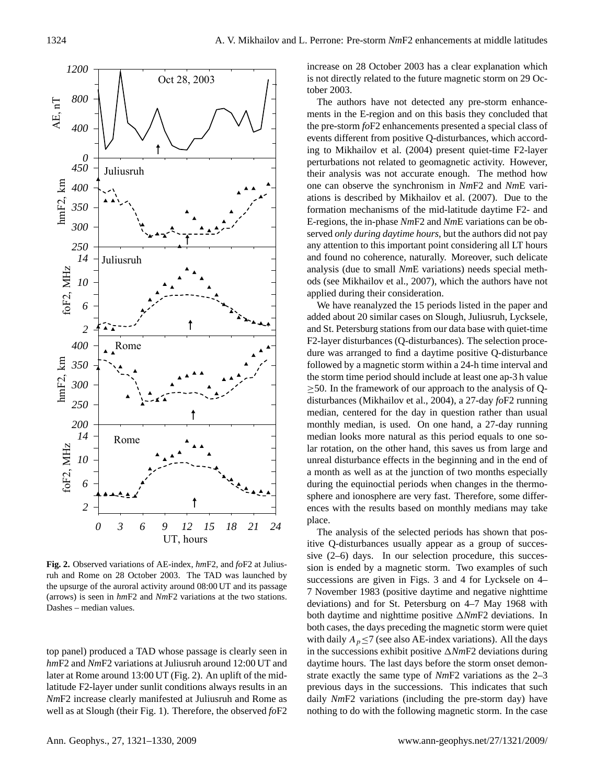

**Fig. 2. Fig. 2.** Observed variations of AE-index, *hm*F2, and *fo*F2 at Juliusruh and Rome on 28 October 2003. The TAD was launched by the upsurge of the auroral activity around 08:00 UT and its passage (arrows) is seen in *hm*F2 and *Nm*F2 variations at the two stations. Dashes – median values.

well as at Slough (their Fig. 1). Therefore, the observed  $f \circ F2$ top panel) produced a TAD whose passage is clearly seen in *hm*F2 and *Nm*F2 variations at Juliusruh around 12:00 UT and later at Rome around 13:00 UT (Fig. 2). An uplift of the midlatitude F2-layer under sunlit conditions always results in an *Nm*F2 increase clearly manifested at Juliusruh and Rome as increase on 28 October 2003 has a clear explanation which is not directly related to the future magnetic storm on 29 October 2003.

The authors have not detected any pre-storm enhancements in the E-region and on this basis they concluded that the pre-storm *fo*F2 enhancements presented a special class of events different from positive Q-disturbances, which according to Mikhailov et al. (2004) present quiet-time F2-layer perturbations not related to geomagnetic activity. However, their analysis was not accurate enough. The method how one can observe the synchronism in *Nm*F2 and *Nm*E variations is described by Mikhailov et al. (2007). Due to the formation mechanisms of the mid-latitude daytime F2- and E-regions, the in-phase *Nm*F2 and *Nm*E variations can be observed *only during daytime hours*, but the authors did not pay any attention to this important point considering all LT hours and found no coherence, naturally. Moreover, such delicate analysis (due to small *Nm*E variations) needs special methods (see Mikhailov et al., 2007), which the authors have not applied during their consideration.

We have reanalyzed the 15 periods listed in the paper and added about 20 similar cases on Slough, Juliusruh, Lycksele, and St. Petersburg stations from our data base with quiet-time F2-layer disturbances (Q-disturbances). The selection procedure was arranged to find a daytime positive Q-disturbance followed by a magnetic storm within a 24-h time interval and the storm time period should include at least one ap-3 h value  $\geq$ 50. In the framework of our approach to the analysis of Qdisturbances (Mikhailov et al., 2004), a 27-day *fo*F2 running median, centered for the day in question rather than usual monthly median, is used. On one hand, a 27-day running median looks more natural as this period equals to one solar rotation, on the other hand, this saves us from large and unreal disturbance effects in the beginning and in the end of a month as well as at the junction of two months especially during the equinoctial periods when changes in the thermosphere and ionosphere are very fast. Therefore, some differences with the results based on monthly medians may take place.

The analysis of the selected periods has shown that positive Q-disturbances usually appear as a group of successive (2–6) days. In our selection procedure, this succession is ended by a magnetic storm. Two examples of such successions are given in Figs. 3 and 4 for Lycksele on 4– 7 November 1983 (positive daytime and negative nighttime deviations) and for St. Petersburg on 4–7 May 1968 with both daytime and nighttime positive  $\triangle NmF2$  deviations. In both cases, the days preceding the magnetic storm were quiet with daily  $A_p \le 7$  (see also AE-index variations). All the days in the successions exhibit positive  $\triangle NmF2$  deviations during daytime hours. The last days before the storm onset demonstrate exactly the same type of *Nm*F2 variations as the 2–3 previous days in the successions. This indicates that such daily *Nm*F2 variations (including the pre-storm day) have nothing to do with the following magnetic storm. In the case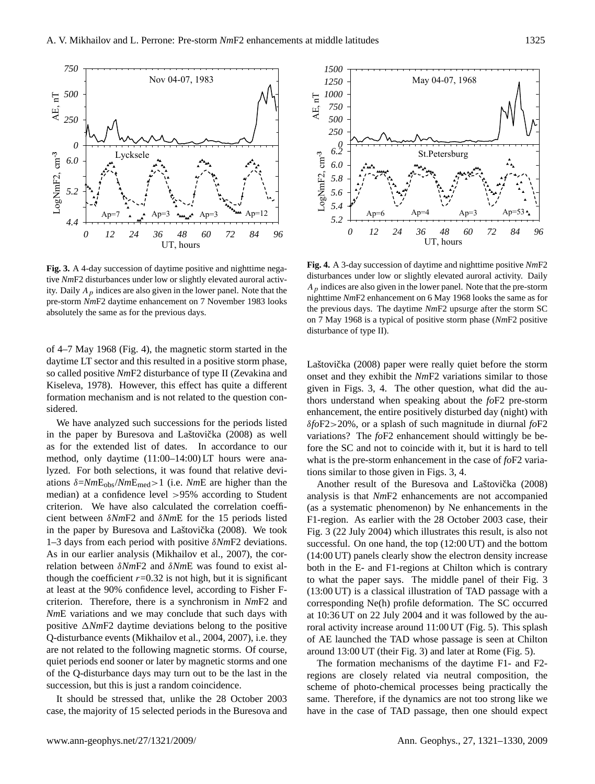

**Fig. 3. Fig. 3.** A 4-day succession of daytime positive and nighttime negative *Nm*F2 disturbances under low or slightly elevated auroral activity. Daily  $A_p$  indices are also given in the lower panel. Note that the pre-storm *Nm*F2 daytime enhancement on 7 November 1983 looks absolutely the same as for the previous days.

of 4–7 May 1968 (Fig. 4), the magnetic storm started in the daytime LT sector and this resulted in a positive storm phase, so called positive *Nm*F2 disturbance of type II (Zevakina and Kiseleva, 1978). However, this effect has quite a different formation mechanism and is not related to the question considered.

relation between  $δNmF2$  and  $δNmE$  was found to exist al-We have analyzed such successions for the periods listed in the paper by Buresova and Laštovička (2008) as well as for the extended list of dates. In accordance to our method, only daytime (11:00–14:00) LT hours were analyzed. For both selections, it was found that relative deviations δ=*Nm*Eobs/*Nm*Emed>1 (i.e. *Nm*E are higher than the median) at a confidence level >95% according to Student criterion. We have also calculated the correlation coefficient between δ*Nm*F2 and δ*Nm*E for the 15 periods listed in the paper by Buresova and Laštovička (2008). We took 1–3 days from each period with positive δ*Nm*F2 deviations. As in our earlier analysis (Mikhailov et al., 2007), the corthough the coefficient  $r=0.32$  is not high, but it is significant at least at the 90% confidence level, according to Fisher Fcriterion. Therefore, there is a synchronism in *Nm*F2 and *Nm*E variations and we may conclude that such days with positive  $\triangle NmF2$  daytime deviations belong to the positive Q-disturbance events (Mikhailov et al., 2004, 2007), i.e. they are not related to the following magnetic storms. Of course, quiet periods end sooner or later by magnetic storms and one of the Q-disturbance days may turn out to be the last in the succession, but this is just a random coincidence.

It should be stressed that, unlike the 28 October 2003 case, the majority of 15 selected periods in the Buresova and



**Fig. 4. Fig. 4.** A 3-day succession of daytime and nighttime positive *Nm*F2 disturbances under low or slightly elevated auroral activity. Daily  $A<sub>p</sub>$  indices are also given in the lower panel. Note that the pre-storm nighttime *Nm*F2 enhancement on 6 May 1968 looks the same as for the previous days. The daytime *Nm*F2 upsurge after the storm SC on 7 May 1968 is a typical of positive storm phase (*Nm*F2 positive disturbance of type II).

Laštovička (2008) paper were really quiet before the storm onset and they exhibit the *Nm*F2 variations similar to those given in Figs. 3, 4. The other question, what did the authors understand when speaking about the *fo*F2 pre-storm enhancement, the entire positively disturbed day (night) with δ*fo*F2>20%, or a splash of such magnitude in diurnal *fo*F2 variations? The *fo*F2 enhancement should wittingly be before the SC and not to coincide with it, but it is hard to tell what is the pre-storm enhancement in the case of *fo*F2 variations similar to those given in Figs. 3, 4.

19 (14:00 UT) panels clearly show the electron density increase Another result of the Buresova and Laštovička (2008) analysis is that *Nm*F2 enhancements are not accompanied (as a systematic phenomenon) by Ne enhancements in the F1-region. As earlier with the 28 October 2003 case, their Fig. 3 (22 July 2004) which illustrates this result, is also not successful. On one hand, the top (12:00 UT) and the bottom both in the E- and F1-regions at Chilton which is contrary to what the paper says. The middle panel of their Fig. 3 (13:00 UT) is a classical illustration of TAD passage with a corresponding Ne(h) profile deformation. The SC occurred at 10:36 UT on 22 July 2004 and it was followed by the auroral activity increase around 11:00 UT (Fig. 5). This splash of AE launched the TAD whose passage is seen at Chilton around 13:00 UT (their Fig. 3) and later at Rome (Fig. 5).

The formation mechanisms of the daytime F1- and F2 regions are closely related via neutral composition, the scheme of photo-chemical processes being practically the same. Therefore, if the dynamics are not too strong like we have in the case of TAD passage, then one should expect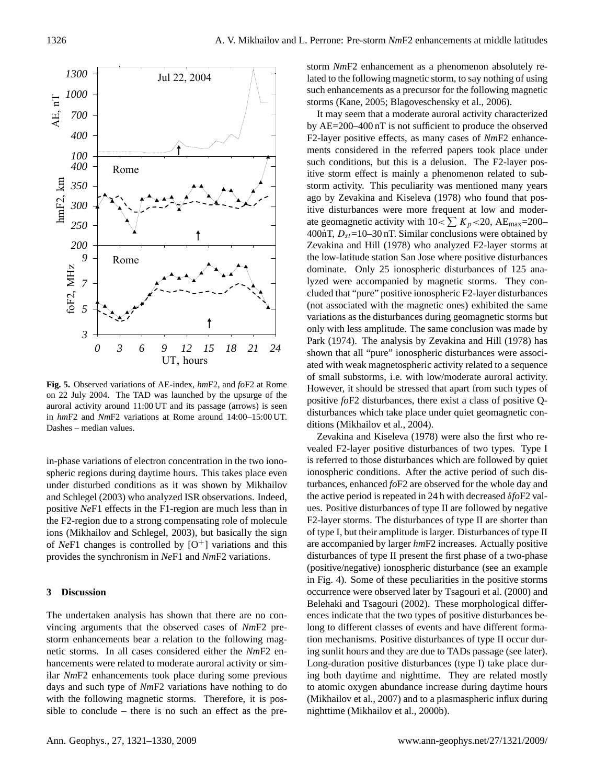

**Fig. 5. Fig. 5.** Observed variations of AE-index, *hm*F2, and *fo*F2 at Rome on 22 July 2004. The TAD was launched by the upsurge of the auroral activity around 11:00 UT and its passage (arrows) is seen in *hm*F2 and *Nm*F2 variations at Rome around 14:00–15:00 UT. Dashes – median values.

in-phase variations of electron concentration in the two ionospheric regions during daytime hours. This takes place even under disturbed conditions as it was shown by Mikhailov and Schlegel (2003) who analyzed ISR observations. Indeed, positive *Ne*F1 effects in the F1-region are much less than in the F2-region due to a strong compensating role of molecule ions (Mikhailov and Schlegel, 2003), but basically the sign of *Ne*F1 changes is controlled by  $[O^+]$  variations and this provides the synchronism in *Ne*F1 and *Nm*F2 variations.

#### **3 Discussion**

sible to conclude – there is no such an effect as the pre-The undertaken analysis has shown that there are no convincing arguments that the observed cases of *Nm*F2 prestorm enhancements bear a relation to the following magnetic storms. In all cases considered either the *Nm*F2 enhancements were related to moderate auroral activity or similar *Nm*F2 enhancements took place during some previous days and such type of *Nm*F2 variations have nothing to do with the following magnetic storms. Therefore, it is posstorm *Nm*F2 enhancement as a phenomenon absolutely related to the following magnetic storm, to say nothing of using such enhancements as a precursor for the following magnetic storms (Kane, 2005; Blagoveschensky et al., 2006).

It may seem that a moderate auroral activity characterized by AE=200–400 nT is not sufficient to produce the observed F2-layer positive effects, as many cases of *Nm*F2 enhancements considered in the referred papers took place under such conditions, but this is a delusion. The F2-layer positive storm effect is mainly a phenomenon related to substorm activity. This peculiarity was mentioned many years ago by Zevakina and Kiseleva (1978) who found that positive disturbances were more frequent at low and moderate geomagnetic activity with  $10 < \sum K_p < 20$ , AE<sub>max</sub>=200– 400nT,  $D_{st}$ =10–30 nT. Similar conclusions were obtained by Zevakina and Hill (1978) who analyzed F2-layer storms at the low-latitude station San Jose where positive disturbances dominate. Only 25 ionospheric disturbances of 125 analyzed were accompanied by magnetic storms. They concluded that "pure" positive ionospheric F2-layer disturbances (not associated with the magnetic ones) exhibited the same variations as the disturbances during geomagnetic storms but only with less amplitude. The same conclusion was made by Park (1974). The analysis by Zevakina and Hill (1978) has shown that all "pure" ionospheric disturbances were associated with weak magnetospheric activity related to a sequence of small substorms, i.e. with low/moderate auroral activity. However, it should be stressed that apart from such types of positive *fo*F2 disturbances, there exist a class of positive Qdisturbances which take place under quiet geomagnetic conditions (Mikhailov et al., 2004).

Zevakina and Kiseleva (1978) were also the first who revealed F2-layer positive disturbances of two types. Type I is referred to those disturbances which are followed by quiet ionospheric conditions. After the active period of such disturbances, enhanced *fo*F2 are observed for the whole day and the active period is repeated in 24 h with decreased δ*fo*F2 values. Positive disturbances of type II are followed by negative F2-layer storms. The disturbances of type II are shorter than of type I, but their amplitude is larger. Disturbances of type II are accompanied by larger *hm*F2 increases. Actually positive disturbances of type II present the first phase of a two-phase (positive/negative) ionospheric disturbance (see an example in Fig. 4). Some of these peculiarities in the positive storms occurrence were observed later by Tsagouri et al. (2000) and Belehaki and Tsagouri (2002). These morphological differences indicate that the two types of positive disturbances belong to different classes of events and have different formation mechanisms. Positive disturbances of type II occur during sunlit hours and they are due to TADs passage (see later). Long-duration positive disturbances (type I) take place during both daytime and nighttime. They are related mostly to atomic oxygen abundance increase during daytime hours (Mikhailov et al., 2007) and to a plasmaspheric influx during nighttime (Mikhailov et al., 2000b).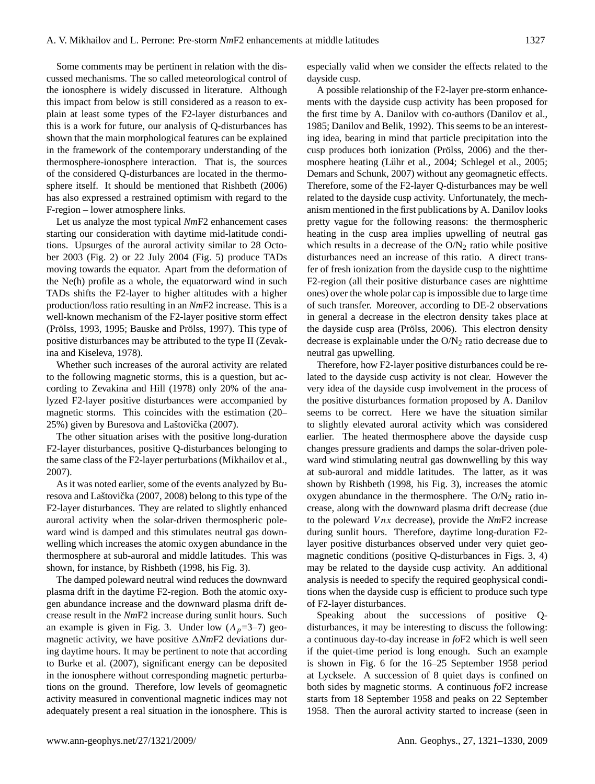Some comments may be pertinent in relation with the discussed mechanisms. The so called meteorological control of the ionosphere is widely discussed in literature. Although this impact from below is still considered as a reason to explain at least some types of the F2-layer disturbances and this is a work for future, our analysis of Q-disturbances has shown that the main morphological features can be explained in the framework of the contemporary understanding of the thermosphere-ionosphere interaction. That is, the sources of the considered Q-disturbances are located in the thermosphere itself. It should be mentioned that Rishbeth (2006) has also expressed a restrained optimism with regard to the F-region – lower atmosphere links.

Let us analyze the most typical *Nm*F2 enhancement cases starting our consideration with daytime mid-latitude conditions. Upsurges of the auroral activity similar to 28 October 2003 (Fig. 2) or 22 July 2004 (Fig. 5) produce TADs moving towards the equator. Apart from the deformation of the Ne(h) profile as a whole, the equatorward wind in such TADs shifts the F2-layer to higher altitudes with a higher production/loss ratio resulting in an *Nm*F2 increase. This is a well-known mechanism of the F2-layer positive storm effect (Prölss, 1993, 1995; Bauske and Prölss, 1997). This type of positive disturbances may be attributed to the type II (Zevakina and Kiseleva, 1978).

Whether such increases of the auroral activity are related to the following magnetic storms, this is a question, but according to Zevakina and Hill (1978) only 20% of the analyzed F2-layer positive disturbances were accompanied by magnetic storms. This coincides with the estimation (20– 25%) given by Buresova and Laštovička (2007).

The other situation arises with the positive long-duration F2-layer disturbances, positive Q-disturbances belonging to the same class of the F2-layer perturbations (Mikhailov et al., 2007).

As it was noted earlier, some of the events analyzed by Buresova and Laštovička (2007, 2008) belong to this type of the F2-layer disturbances. They are related to slightly enhanced auroral activity when the solar-driven thermospheric poleward wind is damped and this stimulates neutral gas downwelling which increases the atomic oxygen abundance in the thermosphere at sub-auroral and middle latitudes. This was shown, for instance, by Rishbeth (1998, his Fig. 3).

The damped poleward neutral wind reduces the downward plasma drift in the daytime F2-region. Both the atomic oxygen abundance increase and the downward plasma drift decrease result in the *Nm*F2 increase during sunlit hours. Such an example is given in Fig. 3. Under low  $(A_p=3-7)$  geomagnetic activity, we have positive  $\triangle NmF2$  deviations during daytime hours. It may be pertinent to note that according to Burke et al. (2007), significant energy can be deposited in the ionosphere without corresponding magnetic perturbations on the ground. Therefore, low levels of geomagnetic activity measured in conventional magnetic indices may not adequately present a real situation in the ionosphere. This is

especially valid when we consider the effects related to the dayside cusp.

A possible relationship of the F2-layer pre-storm enhancements with the dayside cusp activity has been proposed for the first time by A. Danilov with co-authors (Danilov et al., 1985; Danilov and Belik, 1992). This seems to be an interesting idea, bearing in mind that particle precipitation into the cusp produces both ionization (Prölss, 2006) and the thermosphere heating (Lühr et al., 2004; Schlegel et al., 2005; Demars and Schunk, 2007) without any geomagnetic effects. Therefore, some of the F2-layer Q-disturbances may be well related to the dayside cusp activity. Unfortunately, the mechanism mentioned in the first publications by A. Danilov looks pretty vague for the following reasons: the thermospheric heating in the cusp area implies upwelling of neutral gas which results in a decrease of the  $O/N<sub>2</sub>$  ratio while positive disturbances need an increase of this ratio. A direct transfer of fresh ionization from the dayside cusp to the nighttime F2-region (all their positive disturbance cases are nighttime ones) over the whole polar cap is impossible due to large time of such transfer. Moreover, according to DE-2 observations in general a decrease in the electron density takes place at the dayside cusp area (Prölss, 2006). This electron density decrease is explainable under the  $O/N<sub>2</sub>$  ratio decrease due to neutral gas upwelling.

Therefore, how F2-layer positive disturbances could be related to the dayside cusp activity is not clear. However the very idea of the dayside cusp involvement in the process of the positive disturbances formation proposed by A. Danilov seems to be correct. Here we have the situation similar to slightly elevated auroral activity which was considered earlier. The heated thermosphere above the dayside cusp changes pressure gradients and damps the solar-driven poleward wind stimulating neutral gas downwelling by this way at sub-auroral and middle latitudes. The latter, as it was shown by Rishbeth (1998, his Fig. 3), increases the atomic oxygen abundance in the thermosphere. The  $O/N<sub>2</sub>$  ratio increase, along with the downward plasma drift decrease (due to the poleward V nx decrease), provide the *Nm*F2 increase during sunlit hours. Therefore, daytime long-duration F2 layer positive disturbances observed under very quiet geomagnetic conditions (positive Q-disturbances in Figs. 3, 4) may be related to the dayside cusp activity. An additional analysis is needed to specify the required geophysical conditions when the dayside cusp is efficient to produce such type of F2-layer disturbances.

Speaking about the successions of positive Qdisturbances, it may be interesting to discuss the following: a continuous day-to-day increase in *fo*F2 which is well seen if the quiet-time period is long enough. Such an example is shown in Fig. 6 for the 16–25 September 1958 period at Lycksele. A succession of 8 quiet days is confined on both sides by magnetic storms. A continuous *fo*F2 increase starts from 18 September 1958 and peaks on 22 September 1958. Then the auroral activity started to increase (seen in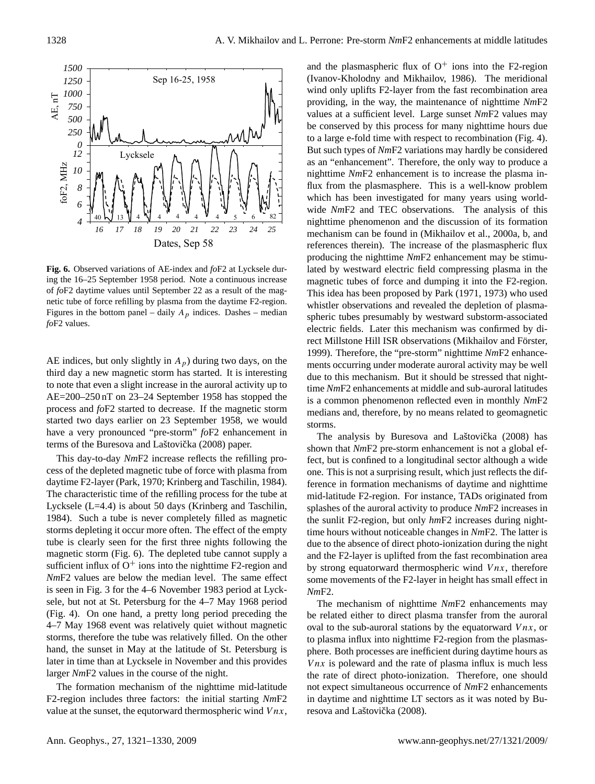

**Fig. 6. Fig. 6.** Observed variations of AE-index and *fo*F2 at Lycksele during the 16–25 September 1958 period. Note a continuous increase of *fo*F2 daytime values until September 22 as a result of the magnetic tube of force refilling by plasma from the daytime F2-region. Figures in the bottom panel – daily  $A_p$  indices. Dashes – median *fo*F2 values.

AE indices, but only slightly in  $A_p$ ) during two days, on the third day a new magnetic storm has started. It is interesting to note that even a slight increase in the auroral activity up to AE=200–250 nT on 23–24 September 1958 has stopped the process and *fo*F2 started to decrease. If the magnetic storm started two days earlier on 23 September 1958, we would have a very pronounced "pre-storm" *fo*F2 enhancement in terms of the Buresova and Laštovička (2008) paper.

sufficient influx of  $O^+$  ions into the nighttime F2-region and This day-to-day *Nm*F2 increase reflects the refilling process of the depleted magnetic tube of force with plasma from daytime F2-layer (Park, 1970; Krinberg and Taschilin, 1984). The characteristic time of the refilling process for the tube at Lycksele (L=4.4) is about 50 days (Krinberg and Taschilin, 1984). Such a tube is never completely filled as magnetic storms depleting it occur more often. The effect of the empty tube is clearly seen for the first three nights following the magnetic storm (Fig. 6). The depleted tube cannot supply a *Nm*F2 values are below the median level. The same effect is seen in Fig. 3 for the 4–6 November 1983 period at Lycksele, but not at St. Petersburg for the 4–7 May 1968 period (Fig. 4). On one hand, a pretty long period preceding the 4–7 May 1968 event was relatively quiet without magnetic storms, therefore the tube was relatively filled. On the other hand, the sunset in May at the latitude of St. Petersburg is later in time than at Lycksele in November and this provides larger *Nm*F2 values in the course of the night.

The formation mechanism of the nighttime mid-latitude F2-region includes three factors: the initial starting *Nm*F2 value at the sunset, the equtorward thermospheric wind  $V$ *nx*, and the plasmaspheric flux of  $O^+$  ions into the F2-region (Ivanov-Kholodny and Mikhailov, 1986). The meridional wind only uplifts F2-layer from the fast recombination area providing, in the way, the maintenance of nighttime *Nm*F2 values at a sufficient level. Large sunset *Nm*F2 values may be conserved by this process for many nighttime hours due to a large e-fold time with respect to recombination (Fig. 4). But such types of *Nm*F2 variations may hardly be considered as an "enhancement". Therefore, the only way to produce a nighttime *Nm*F2 enhancement is to increase the plasma influx from the plasmasphere. This is a well-know problem which has been investigated for many years using worldwide *Nm*F2 and TEC observations. The analysis of this nighttime phenomenon and the discussion of its formation mechanism can be found in (Mikhailov et al., 2000a, b, and references therein). The increase of the plasmaspheric flux producing the nighttime *Nm*F2 enhancement may be stimulated by westward electric field compressing plasma in the magnetic tubes of force and dumping it into the F2-region. This idea has been proposed by Park (1971, 1973) who used whistler observations and revealed the depletion of plasmaspheric tubes presumably by westward substorm-associated electric fields. Later this mechanism was confirmed by direct Millstone Hill ISR observations (Mikhailov and Förster, 1999). Therefore, the "pre-storm" nighttime *Nm*F2 enhancements occurring under moderate auroral activity may be well due to this mechanism. But it should be stressed that nighttime *Nm*F2 enhancements at middle and sub-auroral latitudes is a common phenomenon reflected even in monthly *Nm*F2 medians and, therefore, by no means related to geomagnetic storms.

The analysis by Buresova and Laštovička (2008) has shown that *Nm*F2 pre-storm enhancement is not a global effect, but is confined to a longitudinal sector although a wide one. This is not a surprising result, which just reflects the difference in formation mechanisms of daytime and nighttime mid-latitude F2-region. For instance, TADs originated from splashes of the auroral activity to produce *Nm*F2 increases in the sunlit F2-region, but only *hm*F2 increases during nighttime hours without noticeable changes in *Nm*F2. The latter is due to the absence of direct photo-ionization during the night and the F2-layer is uplifted from the fast recombination area by strong equatorward thermospheric wind  $V$ *nx*, therefore some movements of the F2-layer in height has small effect in *Nm*F2.

The mechanism of nighttime *Nm*F2 enhancements may be related either to direct plasma transfer from the auroral oval to the sub-auroral stations by the equatorward  $Vnx$ , or to plasma influx into nighttime F2-region from the plasmasphere. Both processes are inefficient during daytime hours as *Vnx* is poleward and the rate of plasma influx is much less the rate of direct photo-ionization. Therefore, one should not expect simultaneous occurrence of *Nm*F2 enhancements in daytime and nighttime LT sectors as it was noted by Buresova and Laštovička (2008).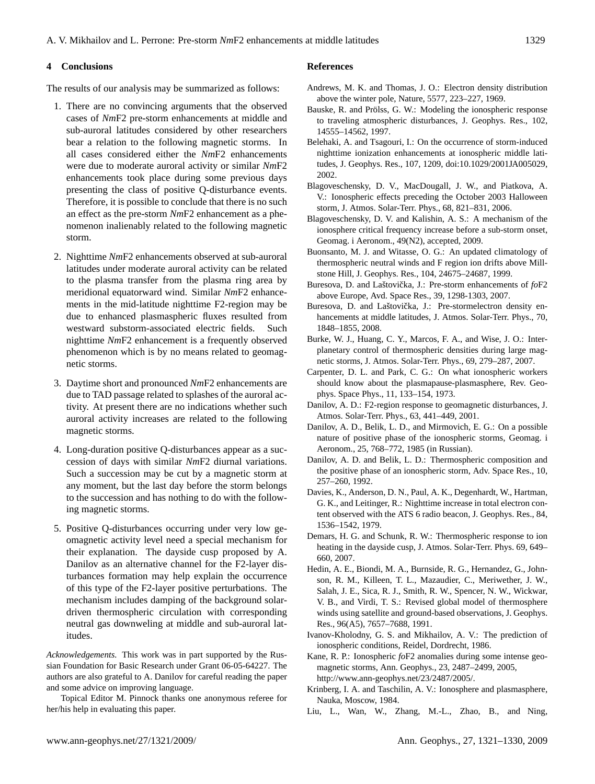#### **4 Conclusions**

The results of our analysis may be summarized as follows:

- 1. There are no convincing arguments that the observed cases of *Nm*F2 pre-storm enhancements at middle and sub-auroral latitudes considered by other researchers bear a relation to the following magnetic storms. In all cases considered either the *Nm*F2 enhancements were due to moderate auroral activity or similar *Nm*F2 enhancements took place during some previous days presenting the class of positive Q-disturbance events. Therefore, it is possible to conclude that there is no such an effect as the pre-storm *Nm*F2 enhancement as a phenomenon inalienably related to the following magnetic storm.
- 2. Nighttime *Nm*F2 enhancements observed at sub-auroral latitudes under moderate auroral activity can be related to the plasma transfer from the plasma ring area by meridional equatorward wind. Similar *Nm*F2 enhancements in the mid-latitude nighttime F2-region may be due to enhanced plasmaspheric fluxes resulted from westward substorm-associated electric fields. Such nighttime *Nm*F2 enhancement is a frequently observed phenomenon which is by no means related to geomagnetic storms.
- 3. Daytime short and pronounced *Nm*F2 enhancements are due to TAD passage related to splashes of the auroral activity. At present there are no indications whether such auroral activity increases are related to the following magnetic storms.
- 4. Long-duration positive Q-disturbances appear as a succession of days with similar *Nm*F2 diurnal variations. Such a succession may be cut by a magnetic storm at any moment, but the last day before the storm belongs to the succession and has nothing to do with the following magnetic storms.
- 5. Positive Q-disturbances occurring under very low geomagnetic activity level need a special mechanism for their explanation. The dayside cusp proposed by A. Danilov as an alternative channel for the F2-layer disturbances formation may help explain the occurrence of this type of the F2-layer positive perturbations. The mechanism includes damping of the background solardriven thermospheric circulation with corresponding neutral gas downweling at middle and sub-auroral latitudes.

*Acknowledgements.* This work was in part supported by the Russian Foundation for Basic Research under Grant 06-05-64227. The authors are also grateful to A. Danilov for careful reading the paper and some advice on improving language.

Topical Editor M. Pinnock thanks one anonymous referee for her/his help in evaluating this paper.

#### **References**

- Andrews, M. K. and Thomas, J. O.: Electron density distribution above the winter pole, Nature, 5577, 223–227, 1969.
- Bauske, R. and Prölss, G. W.: Modeling the ionospheric response to traveling atmospheric disturbances, J. Geophys. Res., 102, 14555–14562, 1997.
- Belehaki, A. and Tsagouri, I.: On the occurrence of storm-induced nighttime ionization enhancements at ionospheric middle latitudes, J. Geophys. Res., 107, 1209, doi:10.1029/2001JA005029, 2002.
- Blagoveschensky, D. V., MacDougall, J. W., and Piatkova, A. V.: Ionospheric effects preceding the October 2003 Halloween storm, J. Atmos. Solar-Terr. Phys., 68, 821–831, 2006.
- Blagoveschensky, D. V. and Kalishin, A. S.: A mechanism of the ionosphere critical frequency increase before a sub-storm onset, Geomag. i Aeronom., 49(N2), accepted, 2009.
- Buonsanto, M. J. and Witasse, O. G.: An updated climatology of thermospheric neutral winds and F region ion drifts above Millstone Hill, J. Geophys. Res., 104, 24675–24687, 1999.
- Buresova, D. and Laštovička, J.: Pre-storm enhancements of  $f \circ F2$ above Europe, Avd. Space Res., 39, 1298-1303, 2007.
- Buresova, D. and Laštovička, J.: Pre-stormelectron density enhancements at middle latitudes, J. Atmos. Solar-Terr. Phys., 70, 1848–1855, 2008.
- Burke, W. J., Huang, C. Y., Marcos, F. A., and Wise, J. O.: Interplanetary control of thermospheric densities during large magnetic storms, J. Atmos. Solar-Terr. Phys., 69, 279–287, 2007.
- Carpenter, D. L. and Park, C. G.: On what ionospheric workers should know about the plasmapause-plasmasphere, Rev. Geophys. Space Phys., 11, 133–154, 1973.
- Danilov, A. D.: F2-region response to geomagnetic disturbances, J. Atmos. Solar-Terr. Phys., 63, 441–449, 2001.
- Danilov, A. D., Belik, L. D., and Mirmovich, E. G.: On a possible nature of positive phase of the ionospheric storms, Geomag. i Aeronom., 25, 768–772, 1985 (in Russian).
- Danilov, A. D. and Belik, L. D.: Thermospheric composition and the positive phase of an ionospheric storm, Adv. Space Res., 10, 257–260, 1992.
- Davies, K., Anderson, D. N., Paul, A. K., Degenhardt, W., Hartman, G. K., and Leitinger, R.: Nighttime increase in total electron content observed with the ATS 6 radio beacon, J. Geophys. Res., 84, 1536–1542, 1979.
- Demars, H. G. and Schunk, R. W.: Thermospheric response to ion heating in the dayside cusp, J. Atmos. Solar-Terr. Phys. 69, 649– 660, 2007.
- Hedin, A. E., Biondi, M. A., Burnside, R. G., Hernandez, G., Johnson, R. M., Killeen, T. L., Mazaudier, C., Meriwether, J. W., Salah, J. E., Sica, R. J., Smith, R. W., Spencer, N. W., Wickwar, V. B., and Virdi, T. S.: Revised global model of thermosphere winds using satellite and ground-based observations, J. Geophys. Res., 96(A5), 7657–7688, 1991.
- Ivanov-Kholodny, G. S. and Mikhailov, A. V.: The prediction of ionospheric conditions, Reidel, Dordrecht, 1986.
- Kane, R. P.: Ionospheric *fo*F2 anomalies during some intense geomagnetic storms, Ann. Geophys., 23, 2487–2499, 2005, [http://www.ann-geophys.net/23/2487/2005/.](http://www.ann-geophys.net/23/2487/2005/)
- Krinberg, I. A. and Taschilin, A. V.: Ionosphere and plasmasphere, Nauka, Moscow, 1984.
- Liu, L., Wan, W., Zhang, M.-L., Zhao, B., and Ning,